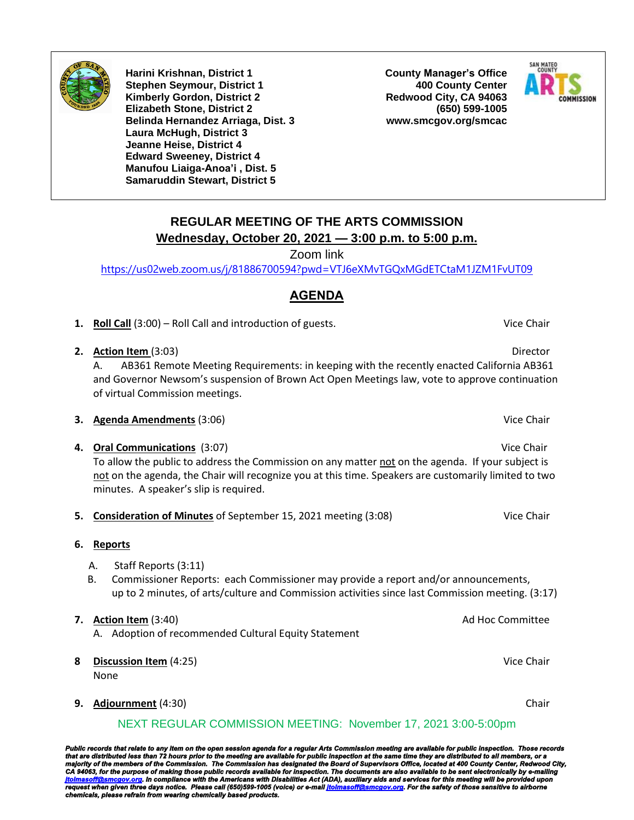

**Harini Krishnan, District 1 Stephen Seymour, District 1 Kimberly Gordon, District 2 Elizabeth Stone, District 2 Belinda Hernandez Arriaga, Dist. 3 Laura McHugh, District 3 Jeanne Heise, District 4 Edward Sweeney, District 4 Manufou Liaiga-Anoa'i , Dist. 5 Samaruddin Stewart, District 5**

**County Manager's Office 400 County Center Redwood City, CA 94063 (650) 599-1005 www.smcgov.org/smcac**



## **REGULAR MEETING OF THE ARTS COMMISSION Wednesday, October 20, 2021 — 3:00 p.m. to 5:00 p.m.**

Zoom link

<https://us02web.zoom.us/j/81886700594?pwd=VTJ6eXMvTGQxMGdETCtaM1JZM1FvUT09>

## **AGENDA**

- **1. Roll Call** (3:00) Roll Call and introduction of guests. **Vice Chair** Vice Chair
- **2. Action Item** (3:03) **Director**

A. AB361 Remote Meeting Requirements: in keeping with the recently enacted California AB361 and Governor Newsom's suspension of Brown Act Open Meetings law, vote to approve continuation of virtual Commission meetings.

- **3. Agenda Amendments** (3:06) **Vice Chair** Vice Chair
- **4. Oral Communications** (3:07) Vice Chair To allow the public to address the Commission on any matter not on the agenda. If your subject is not on the agenda, the Chair will recognize you at this time. Speakers are customarily limited to two minutes. A speaker's slip is required.
- **5. Consideration of Minutes** of September 15, 2021 meeting (3:08) Vice Chair
- **6. Reports**
	- A. Staff Reports (3:11)
	- B. Commissioner Reports: each Commissioner may provide a report and/or announcements, up to 2 minutes, of arts/culture and Commission activities since last Commission meeting. (3:17)

#### **7. Action Item** (3:40) **Ad Hoc Committee Ad Hoc Committee**

- A. Adoption of recommended Cultural Equity Statement
- **8 Discussion Item** (4:25) Vice Chair None
- **9. Adjournment** (4:30) Chair

## NEXT REGULAR COMMISSION MEETING: November 17, 2021 3:00-5:00pm

Public records that relate to any item on the open session agenda for a regular Arts Commission meeting are available for public inspection. Those records<br>that are distributed less than 72 hours prior to the meeting are av *request when given three days notice. Please call (650)599-1005 (voice) or e-mai[l jtolmasoff@smcgov.org.](mailto:jtolmasoff@smcgov.org) For the safety of those sensitive to airborne chemicals, please refrain from wearing chemically based products.*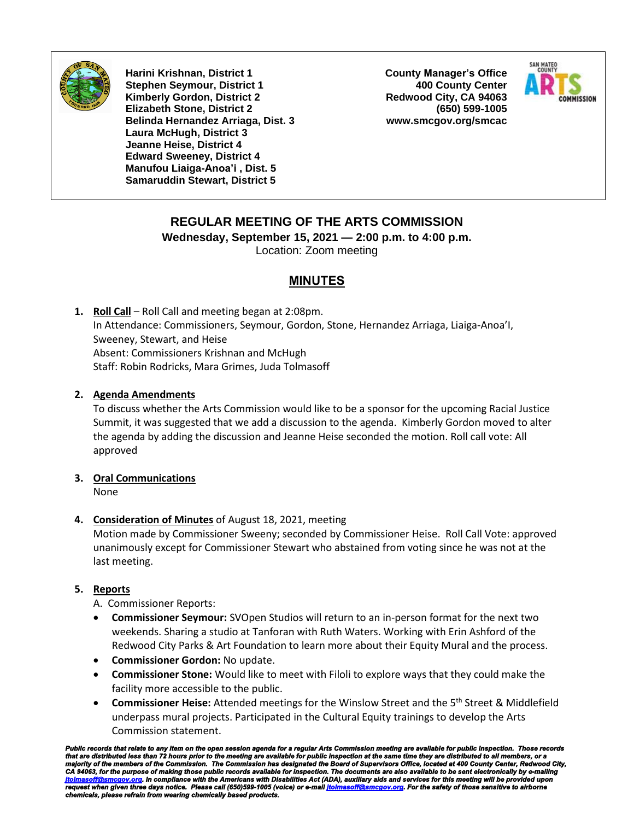

**Harini Krishnan, District 1 Stephen Seymour, District 1 Kimberly Gordon, District 2 Elizabeth Stone, District 2 Belinda Hernandez Arriaga, Dist. 3 Laura McHugh, District 3 Jeanne Heise, District 4 Edward Sweeney, District 4 Manufou Liaiga-Anoa'i , Dist. 5 Samaruddin Stewart, District 5**

**County Manager's Office 400 County Center Redwood City, CA 94063 (650) 599-1005 www.smcgov.org/smcac**



## **REGULAR MEETING OF THE ARTS COMMISSION**

**Wednesday, September 15, 2021 — 2:00 p.m. to 4:00 p.m.** Location: Zoom meeting

## **MINUTES**

**1. Roll Call** – Roll Call and meeting began at 2:08pm. In Attendance: Commissioners, Seymour, Gordon, Stone, Hernandez Arriaga, Liaiga-Anoa'I, Sweeney, Stewart, and Heise Absent: Commissioners Krishnan and McHugh Staff: Robin Rodricks, Mara Grimes, Juda Tolmasoff

## **2. Agenda Amendments**

To discuss whether the Arts Commission would like to be a sponsor for the upcoming Racial Justice Summit, it was suggested that we add a discussion to the agenda. Kimberly Gordon moved to alter the agenda by adding the discussion and Jeanne Heise seconded the motion. Roll call vote: All approved

## **3. Oral Communications**

None

#### **4. Consideration of Minutes** of August 18, 2021, meeting

Motion made by Commissioner Sweeny; seconded by Commissioner Heise. Roll Call Vote: approved unanimously except for Commissioner Stewart who abstained from voting since he was not at the last meeting.

#### **5. Reports**

A. Commissioner Reports:

- **Commissioner Seymour:** SVOpen Studios will return to an in-person format for the next two weekends. Sharing a studio at Tanforan with Ruth Waters. Working with Erin Ashford of the Redwood City Parks & Art Foundation to learn more about their Equity Mural and the process.
- **Commissioner Gordon:** No update.
- **Commissioner Stone:** Would like to meet with Filoli to explore ways that they could make the facility more accessible to the public.
- **Commissioner Heise:** Attended meetings for the Winslow Street and the 5<sup>th</sup> Street & Middlefield underpass mural projects. Participated in the Cultural Equity trainings to develop the Arts Commission statement.

Public records that relate to any item on the open session agenda for a regular Arts Commission meeting are available for public inspection. Those records<br>that are distributed less than 72 hours prior to the meeting are av *request when given three days notice. Please call (650)599-1005 (voice) or e-mai[l jtolmasoff@smcgov.org.](mailto:jtolmasoff@smcgov.org) For the safety of those sensitive to airborne chemicals, please refrain from wearing chemically based products.*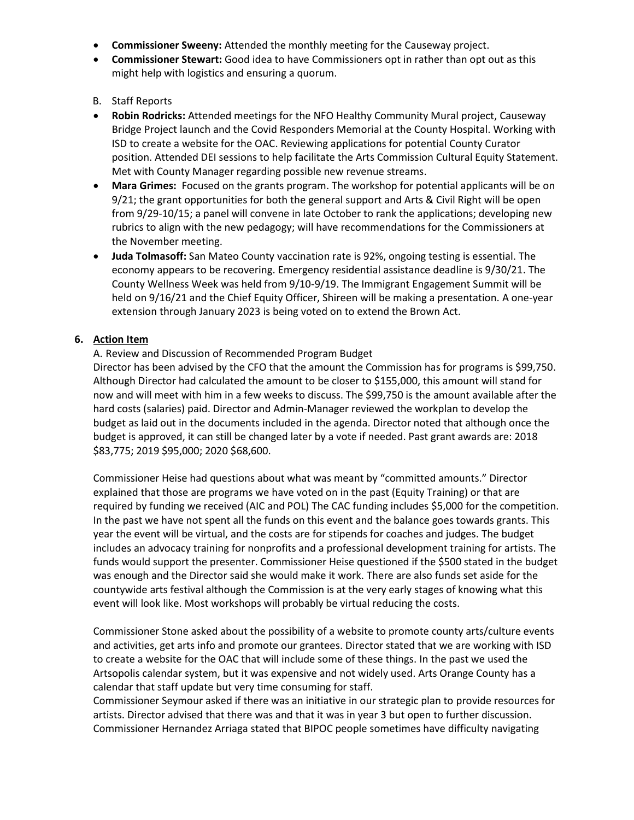- **Commissioner Sweeny:** Attended the monthly meeting for the Causeway project.
- **Commissioner Stewart:** Good idea to have Commissioners opt in rather than opt out as this might help with logistics and ensuring a quorum.

### B. Staff Reports

- **Robin Rodricks:** Attended meetings for the NFO Healthy Community Mural project, Causeway Bridge Project launch and the Covid Responders Memorial at the County Hospital. Working with ISD to create a website for the OAC. Reviewing applications for potential County Curator position. Attended DEI sessions to help facilitate the Arts Commission Cultural Equity Statement. Met with County Manager regarding possible new revenue streams.
- **Mara Grimes:** Focused on the grants program. The workshop for potential applicants will be on 9/21; the grant opportunities for both the general support and Arts & Civil Right will be open from 9/29-10/15; a panel will convene in late October to rank the applications; developing new rubrics to align with the new pedagogy; will have recommendations for the Commissioners at the November meeting.
- **Juda Tolmasoff:** San Mateo County vaccination rate is 92%, ongoing testing is essential. The economy appears to be recovering. Emergency residential assistance deadline is 9/30/21. The County Wellness Week was held from 9/10-9/19. The Immigrant Engagement Summit will be held on 9/16/21 and the Chief Equity Officer, Shireen will be making a presentation. A one-year extension through January 2023 is being voted on to extend the Brown Act.

## **6. Action Item**

### A. Review and Discussion of Recommended Program Budget

Director has been advised by the CFO that the amount the Commission has for programs is \$99,750. Although Director had calculated the amount to be closer to \$155,000, this amount will stand for now and will meet with him in a few weeks to discuss. The \$99,750 is the amount available after the hard costs (salaries) paid. Director and Admin-Manager reviewed the workplan to develop the budget as laid out in the documents included in the agenda. Director noted that although once the budget is approved, it can still be changed later by a vote if needed. Past grant awards are: 2018 \$83,775; 2019 \$95,000; 2020 \$68,600.

Commissioner Heise had questions about what was meant by "committed amounts." Director explained that those are programs we have voted on in the past (Equity Training) or that are required by funding we received (AIC and POL) The CAC funding includes \$5,000 for the competition. In the past we have not spent all the funds on this event and the balance goes towards grants. This year the event will be virtual, and the costs are for stipends for coaches and judges. The budget includes an advocacy training for nonprofits and a professional development training for artists. The funds would support the presenter. Commissioner Heise questioned if the \$500 stated in the budget was enough and the Director said she would make it work. There are also funds set aside for the countywide arts festival although the Commission is at the very early stages of knowing what this event will look like. Most workshops will probably be virtual reducing the costs.

Commissioner Stone asked about the possibility of a website to promote county arts/culture events and activities, get arts info and promote our grantees. Director stated that we are working with ISD to create a website for the OAC that will include some of these things. In the past we used the Artsopolis calendar system, but it was expensive and not widely used. Arts Orange County has a calendar that staff update but very time consuming for staff.

Commissioner Seymour asked if there was an initiative in our strategic plan to provide resources for artists. Director advised that there was and that it was in year 3 but open to further discussion. Commissioner Hernandez Arriaga stated that BIPOC people sometimes have difficulty navigating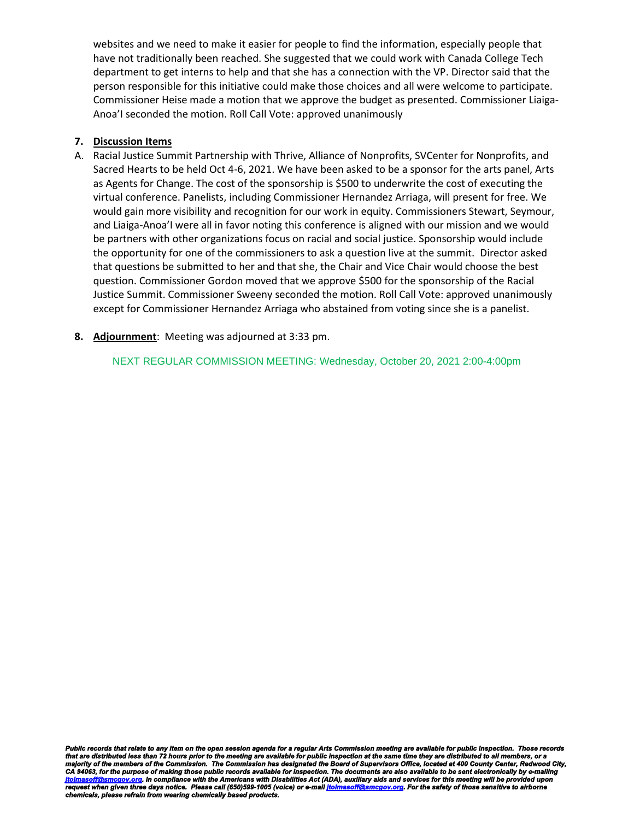websites and we need to make it easier for people to find the information, especially people that have not traditionally been reached. She suggested that we could work with Canada College Tech department to get interns to help and that she has a connection with the VP. Director said that the person responsible for this initiative could make those choices and all were welcome to participate. Commissioner Heise made a motion that we approve the budget as presented. Commissioner Liaiga-Anoa'I seconded the motion. Roll Call Vote: approved unanimously

#### **7. Discussion Items**

- A. Racial Justice Summit Partnership with Thrive, Alliance of Nonprofits, SVCenter for Nonprofits, and Sacred Hearts to be held Oct 4-6, 2021. We have been asked to be a sponsor for the arts panel, Arts as Agents for Change. The cost of the sponsorship is \$500 to underwrite the cost of executing the virtual conference. Panelists, including Commissioner Hernandez Arriaga, will present for free. We would gain more visibility and recognition for our work in equity. Commissioners Stewart, Seymour, and Liaiga-Anoa'I were all in favor noting this conference is aligned with our mission and we would be partners with other organizations focus on racial and social justice. Sponsorship would include the opportunity for one of the commissioners to ask a question live at the summit. Director asked that questions be submitted to her and that she, the Chair and Vice Chair would choose the best question. Commissioner Gordon moved that we approve \$500 for the sponsorship of the Racial Justice Summit. Commissioner Sweeny seconded the motion. Roll Call Vote: approved unanimously except for Commissioner Hernandez Arriaga who abstained from voting since she is a panelist.
- **8. Adjournment**: Meeting was adjourned at 3:33 pm.

NEXT REGULAR COMMISSION MEETING: Wednesday, October 20, 2021 2:00-4:00pm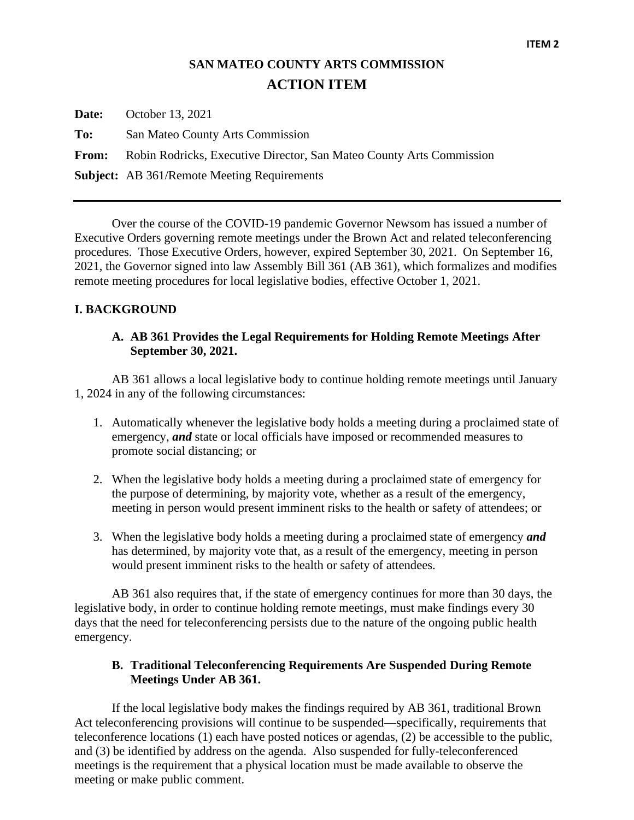## **SAN MATEO COUNTY ARTS COMMISSION ACTION ITEM**

**Date:** October 13, 2021 **To:** San Mateo County Arts Commission **From:** Robin Rodricks, Executive Director, San Mateo County Arts Commission **Subject:** AB 361/Remote Meeting Requirements

Over the course of the COVID-19 pandemic Governor Newsom has issued a number of Executive Orders governing remote meetings under the Brown Act and related teleconferencing procedures. Those Executive Orders, however, expired September 30, 2021. On September 16, 2021, the Governor signed into law Assembly Bill 361 (AB 361), which formalizes and modifies remote meeting procedures for local legislative bodies, effective October 1, 2021.

## **I. BACKGROUND**

## **A. AB 361 Provides the Legal Requirements for Holding Remote Meetings After September 30, 2021.**

AB 361 allows a local legislative body to continue holding remote meetings until January 1, 2024 in any of the following circumstances:

- 1. Automatically whenever the legislative body holds a meeting during a proclaimed state of emergency, *and* state or local officials have imposed or recommended measures to promote social distancing; or
- 2. When the legislative body holds a meeting during a proclaimed state of emergency for the purpose of determining, by majority vote, whether as a result of the emergency, meeting in person would present imminent risks to the health or safety of attendees; or
- 3. When the legislative body holds a meeting during a proclaimed state of emergency *and* has determined, by majority vote that, as a result of the emergency, meeting in person would present imminent risks to the health or safety of attendees.

AB 361 also requires that, if the state of emergency continues for more than 30 days, the legislative body, in order to continue holding remote meetings, must make findings every 30 days that the need for teleconferencing persists due to the nature of the ongoing public health emergency.

## **B. Traditional Teleconferencing Requirements Are Suspended During Remote Meetings Under AB 361.**

If the local legislative body makes the findings required by AB 361, traditional Brown Act teleconferencing provisions will continue to be suspended—specifically, requirements that teleconference locations (1) each have posted notices or agendas, (2) be accessible to the public, and (3) be identified by address on the agenda. Also suspended for fully-teleconferenced meetings is the requirement that a physical location must be made available to observe the meeting or make public comment.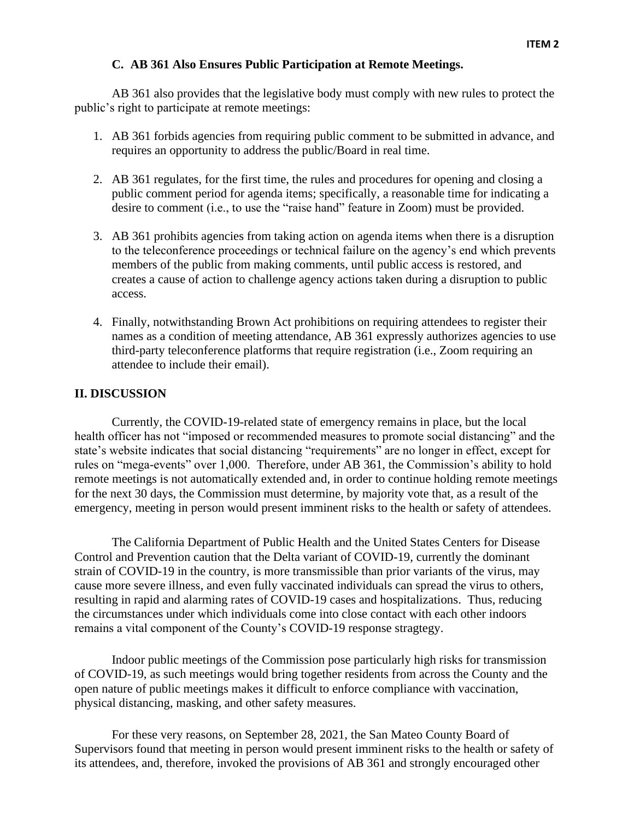### **C. AB 361 Also Ensures Public Participation at Remote Meetings.**

AB 361 also provides that the legislative body must comply with new rules to protect the public's right to participate at remote meetings:

- 1. AB 361 forbids agencies from requiring public comment to be submitted in advance, and requires an opportunity to address the public/Board in real time.
- 2. AB 361 regulates, for the first time, the rules and procedures for opening and closing a public comment period for agenda items; specifically, a reasonable time for indicating a desire to comment (i.e., to use the "raise hand" feature in Zoom) must be provided.
- 3. AB 361 prohibits agencies from taking action on agenda items when there is a disruption to the teleconference proceedings or technical failure on the agency's end which prevents members of the public from making comments, until public access is restored, and creates a cause of action to challenge agency actions taken during a disruption to public access.
- 4. Finally, notwithstanding Brown Act prohibitions on requiring attendees to register their names as a condition of meeting attendance, AB 361 expressly authorizes agencies to use third-party teleconference platforms that require registration (i.e., Zoom requiring an attendee to include their email).

## **II. DISCUSSION**

Currently, the COVID-19-related state of emergency remains in place, but the local health officer has not "imposed or recommended measures to promote social distancing" and the state's website indicates that social distancing "requirements" are no longer in effect, except for rules on "mega-events" over 1,000. Therefore, under AB 361, the Commission's ability to hold remote meetings is not automatically extended and, in order to continue holding remote meetings for the next 30 days, the Commission must determine, by majority vote that, as a result of the emergency, meeting in person would present imminent risks to the health or safety of attendees.

The California Department of Public Health and the United States Centers for Disease Control and Prevention caution that the Delta variant of COVID-19, currently the dominant strain of COVID-19 in the country, is more transmissible than prior variants of the virus, may cause more severe illness, and even fully vaccinated individuals can spread the virus to others, resulting in rapid and alarming rates of COVID-19 cases and hospitalizations. Thus, reducing the circumstances under which individuals come into close contact with each other indoors remains a vital component of the County's COVID-19 response stragtegy.

Indoor public meetings of the Commission pose particularly high risks for transmission of COVID-19, as such meetings would bring together residents from across the County and the open nature of public meetings makes it difficult to enforce compliance with vaccination, physical distancing, masking, and other safety measures.

For these very reasons, on September 28, 2021, the San Mateo County Board of Supervisors found that meeting in person would present imminent risks to the health or safety of its attendees, and, therefore, invoked the provisions of AB 361 and strongly encouraged other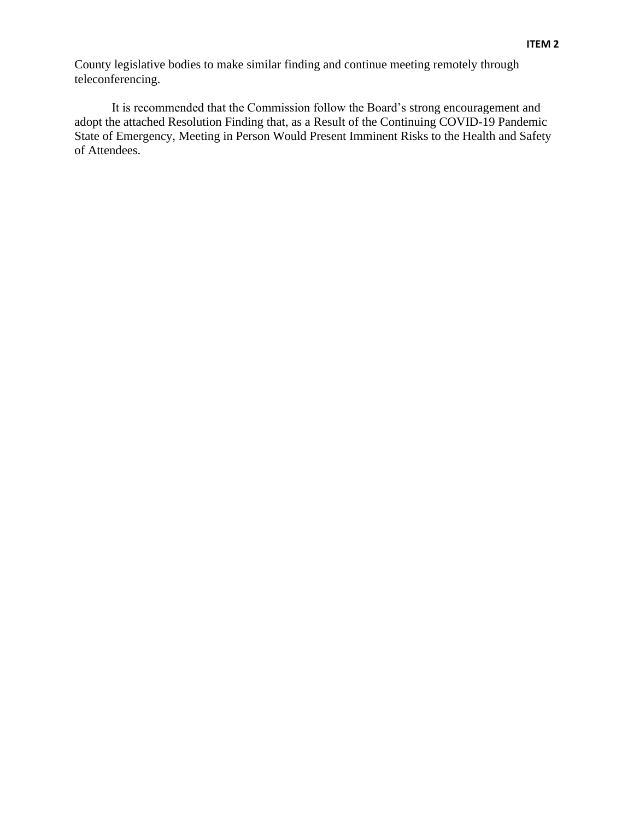County legislative bodies to make similar finding and continue meeting remotely through teleconferencing.

It is recommended that the Commission follow the Board's strong encouragement and adopt the attached Resolution Finding that, as a Result of the Continuing COVID-19 Pandemic State of Emergency, Meeting in Person Would Present Imminent Risks to the Health and Safety of Attendees.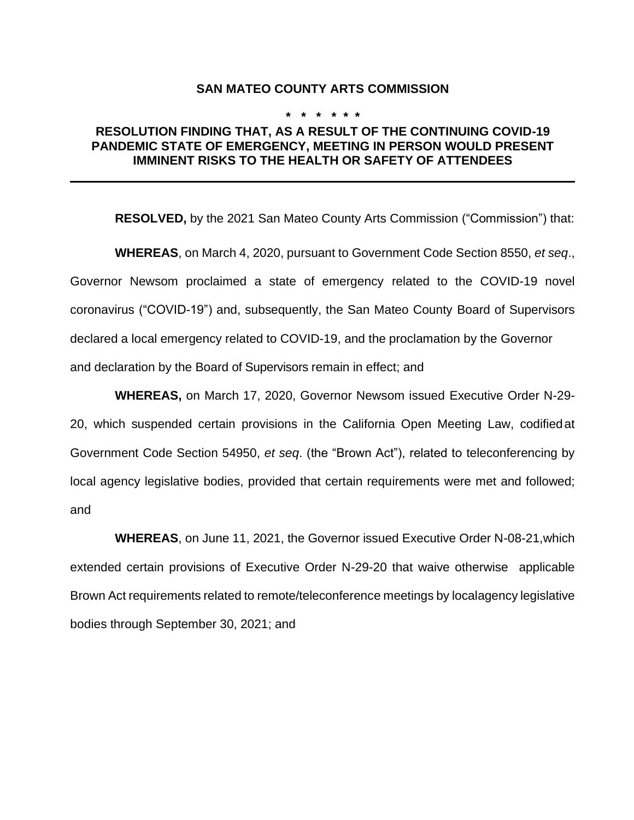#### **SAN MATEO COUNTY ARTS COMMISSION**

#### **\* \* \* \* \* \***

## **RESOLUTION FINDING THAT, AS A RESULT OF THE CONTINUING COVID-19 PANDEMIC STATE OF EMERGENCY, MEETING IN PERSON WOULD PRESENT IMMINENT RISKS TO THE HEALTH OR SAFETY OF ATTENDEES**

**RESOLVED,** by the 2021 San Mateo County Arts Commission ("Commission") that:

**WHEREAS**, on March 4, 2020, pursuant to Government Code Section 8550, *et seq*., Governor Newsom proclaimed a state of emergency related to the COVID-19 novel coronavirus ("COVID-19") and, subsequently, the San Mateo County Board of Supervisors declared a local emergency related to COVID-19, and the proclamation by the Governor and declaration by the Board of Supervisors remain in effect; and

**WHEREAS,** on March 17, 2020, Governor Newsom issued Executive Order N-29- 20, which suspended certain provisions in the California Open Meeting Law, codifiedat Government Code Section 54950, *et seq*. (the "Brown Act"), related to teleconferencing by local agency legislative bodies, provided that certain requirements were met and followed; and

**WHEREAS**, on June 11, 2021, the Governor issued Executive Order N-08-21,which extended certain provisions of Executive Order N-29-20 that waive otherwise applicable Brown Act requirements related to remote/teleconference meetings by localagency legislative bodies through September 30, 2021; and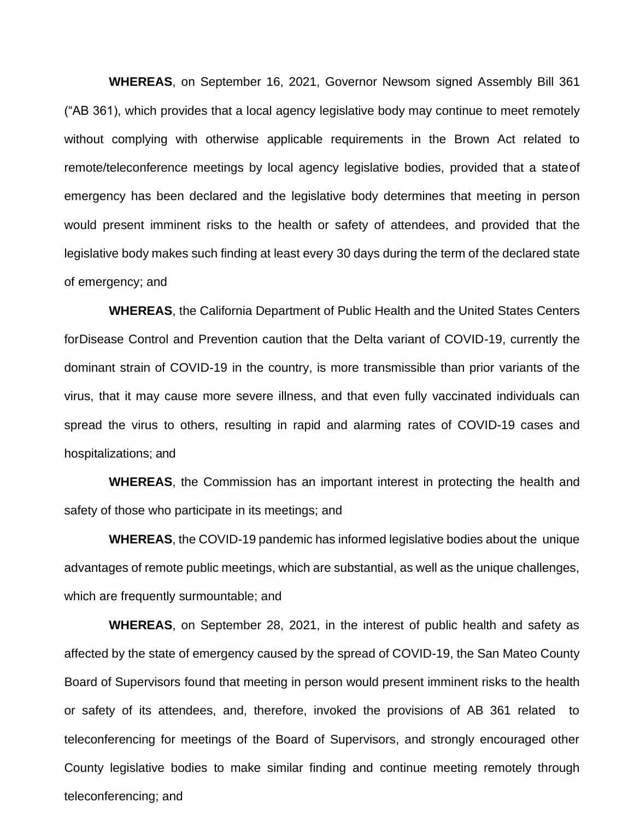**WHEREAS**, on September 16, 2021, Governor Newsom signed Assembly Bill 361 ("AB 361), which provides that a local agency legislative body may continue to meet remotely without complying with otherwise applicable requirements in the Brown Act related to remote/teleconference meetings by local agency legislative bodies, provided that a stateof emergency has been declared and the legislative body determines that meeting in person would present imminent risks to the health or safety of attendees, and provided that the legislative body makes such finding at least every 30 days during the term of the declared state of emergency; and

**WHEREAS**, the California Department of Public Health and the United States Centers forDisease Control and Prevention caution that the Delta variant of COVID-19, currently the dominant strain of COVID-19 in the country, is more transmissible than prior variants of the virus, that it may cause more severe illness, and that even fully vaccinated individuals can spread the virus to others, resulting in rapid and alarming rates of COVID-19 cases and hospitalizations; and

**WHEREAS**, the Commission has an important interest in protecting the health and safety of those who participate in its meetings; and

**WHEREAS**, the COVID-19 pandemic has informed legislative bodies about the unique advantages of remote public meetings, which are substantial, as well as the unique challenges, which are frequently surmountable; and

**WHEREAS**, on September 28, 2021, in the interest of public health and safety as affected by the state of emergency caused by the spread of COVID-19, the San Mateo County Board of Supervisors found that meeting in person would present imminent risks to the health or safety of its attendees, and, therefore, invoked the provisions of AB 361 related to teleconferencing for meetings of the Board of Supervisors, and strongly encouraged other County legislative bodies to make similar finding and continue meeting remotely through teleconferencing; and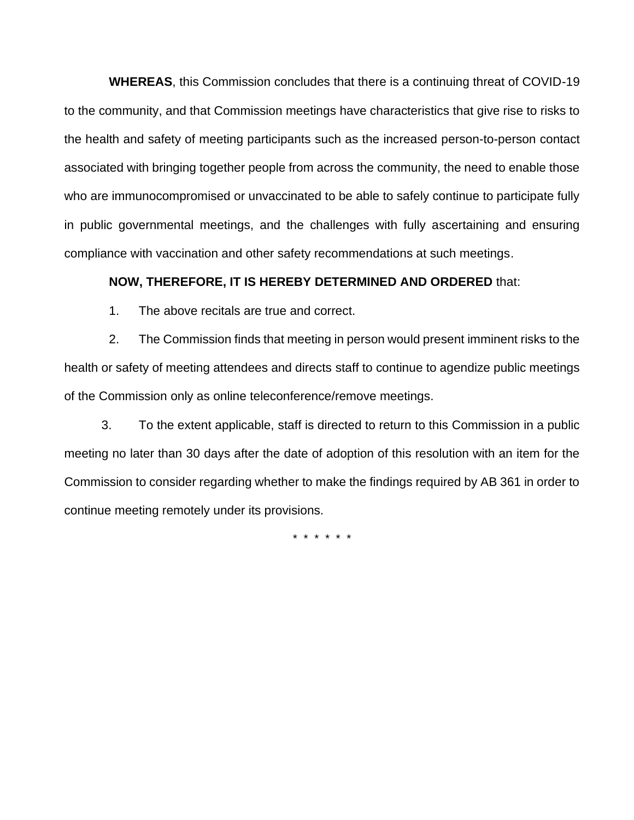**WHEREAS**, this Commission concludes that there is a continuing threat of COVID-19 to the community, and that Commission meetings have characteristics that give rise to risks to the health and safety of meeting participants such as the increased person-to-person contact associated with bringing together people from across the community, the need to enable those who are immunocompromised or unvaccinated to be able to safely continue to participate fully in public governmental meetings, and the challenges with fully ascertaining and ensuring compliance with vaccination and other safety recommendations at such meetings.

## **NOW, THEREFORE, IT IS HEREBY DETERMINED AND ORDERED** that:

1. The above recitals are true and correct.

2. The Commission finds that meeting in person would present imminent risks to the health or safety of meeting attendees and directs staff to continue to agendize public meetings of the Commission only as online teleconference/remove meetings.

3. To the extent applicable, staff is directed to return to this Commission in a public meeting no later than 30 days after the date of adoption of this resolution with an item for the Commission to consider regarding whether to make the findings required by AB 361 in order to continue meeting remotely under its provisions.

\* \* \* \* \* \*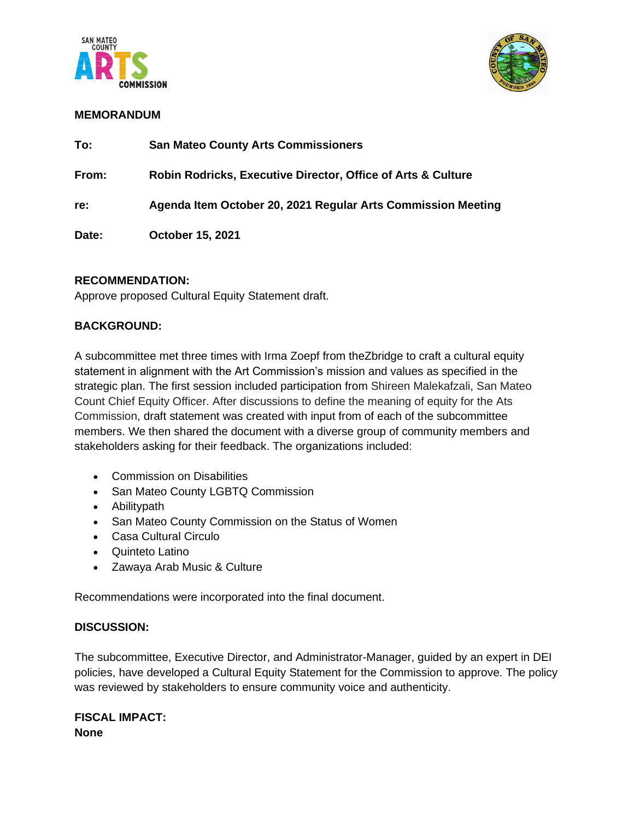



## **MEMORANDUM**

| To:   | <b>San Mateo County Arts Commissioners</b>                              |
|-------|-------------------------------------------------------------------------|
| From: | <b>Robin Rodricks, Executive Director, Office of Arts &amp; Culture</b> |
| re:   | Agenda Item October 20, 2021 Regular Arts Commission Meeting            |
| Date: | October 15, 2021                                                        |

### **RECOMMENDATION:**

Approve proposed Cultural Equity Statement draft.

## **BACKGROUND:**

A subcommittee met three times with Irma Zoepf from theZbridge to craft a cultural equity statement in alignment with the Art Commission's mission and values as specified in the strategic plan. The first session included participation from Shireen Malekafzali, San Mateo Count Chief Equity Officer. After discussions to define the meaning of equity for the Ats Commission, draft statement was created with input from of each of the subcommittee members. We then shared the document with a diverse group of community members and stakeholders asking for their feedback. The organizations included:

- Commission on Disabilities
- San Mateo County LGBTQ Commission
- Abilitypath
- San Mateo County Commission on the Status of Women
- Casa Cultural Circulo
- Quinteto Latino
- Zawaya Arab Music & Culture

Recommendations were incorporated into the final document.

## **DISCUSSION:**

The subcommittee, Executive Director, and Administrator-Manager, guided by an expert in DEI policies, have developed a Cultural Equity Statement for the Commission to approve. The policy was reviewed by stakeholders to ensure community voice and authenticity.

**FISCAL IMPACT: None**